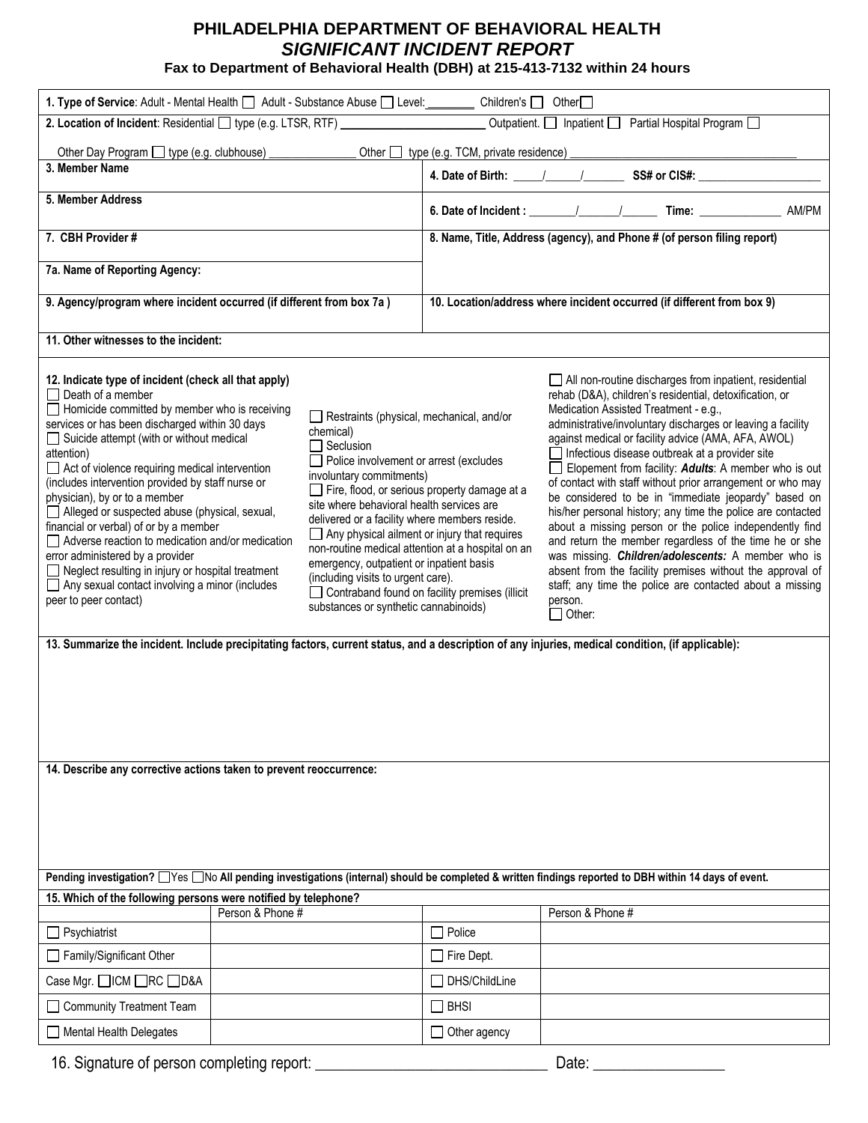## **PHILADELPHIA DEPARTMENT OF BEHAVIORAL HEALTH** *SIGNIFICANT INCIDENT REPORT*

**Fax to Department of Behavioral Health (DBH) at 215-413-7132 within 24 hours**

| 1. Type of Service: Adult - Mental Health   Adult - Substance Abuse   Level: Children's   Other                                                                                                                                                                                                                                                                                                                                                                                                                                                                                                                                                                                                                                                                                                                                                                                                                                                                                                                                                                                                                                                                                                                                                                                                                                  |  |                                                                         |                                                                                                                                                                                                                                                                                                                                                                                                                                                                                                                                                                                                                                                                                                                                                                                                                                                                                                                        |
|----------------------------------------------------------------------------------------------------------------------------------------------------------------------------------------------------------------------------------------------------------------------------------------------------------------------------------------------------------------------------------------------------------------------------------------------------------------------------------------------------------------------------------------------------------------------------------------------------------------------------------------------------------------------------------------------------------------------------------------------------------------------------------------------------------------------------------------------------------------------------------------------------------------------------------------------------------------------------------------------------------------------------------------------------------------------------------------------------------------------------------------------------------------------------------------------------------------------------------------------------------------------------------------------------------------------------------|--|-------------------------------------------------------------------------|------------------------------------------------------------------------------------------------------------------------------------------------------------------------------------------------------------------------------------------------------------------------------------------------------------------------------------------------------------------------------------------------------------------------------------------------------------------------------------------------------------------------------------------------------------------------------------------------------------------------------------------------------------------------------------------------------------------------------------------------------------------------------------------------------------------------------------------------------------------------------------------------------------------------|
| 2. Location of Incident: Residential igroe (e.g. LTSR, RTF)                                                                                                                                                                                                                                                                                                                                                                                                                                                                                                                                                                                                                                                                                                                                                                                                                                                                                                                                                                                                                                                                                                                                                                                                                                                                      |  | Partial Hospital Program<br>Outpatient. $\Box$ Inpatient $\Box$         |                                                                                                                                                                                                                                                                                                                                                                                                                                                                                                                                                                                                                                                                                                                                                                                                                                                                                                                        |
| _Other □ type (e.g. TCM, private residence) _______________                                                                                                                                                                                                                                                                                                                                                                                                                                                                                                                                                                                                                                                                                                                                                                                                                                                                                                                                                                                                                                                                                                                                                                                                                                                                      |  |                                                                         |                                                                                                                                                                                                                                                                                                                                                                                                                                                                                                                                                                                                                                                                                                                                                                                                                                                                                                                        |
| 3. Member Name                                                                                                                                                                                                                                                                                                                                                                                                                                                                                                                                                                                                                                                                                                                                                                                                                                                                                                                                                                                                                                                                                                                                                                                                                                                                                                                   |  | 4. Date of Birth: 1. 1. 1. SS# or CIS#:                                 |                                                                                                                                                                                                                                                                                                                                                                                                                                                                                                                                                                                                                                                                                                                                                                                                                                                                                                                        |
| 5. Member Address                                                                                                                                                                                                                                                                                                                                                                                                                                                                                                                                                                                                                                                                                                                                                                                                                                                                                                                                                                                                                                                                                                                                                                                                                                                                                                                |  |                                                                         |                                                                                                                                                                                                                                                                                                                                                                                                                                                                                                                                                                                                                                                                                                                                                                                                                                                                                                                        |
|                                                                                                                                                                                                                                                                                                                                                                                                                                                                                                                                                                                                                                                                                                                                                                                                                                                                                                                                                                                                                                                                                                                                                                                                                                                                                                                                  |  |                                                                         |                                                                                                                                                                                                                                                                                                                                                                                                                                                                                                                                                                                                                                                                                                                                                                                                                                                                                                                        |
| 7. CBH Provider #                                                                                                                                                                                                                                                                                                                                                                                                                                                                                                                                                                                                                                                                                                                                                                                                                                                                                                                                                                                                                                                                                                                                                                                                                                                                                                                |  | 8. Name, Title, Address (agency), and Phone # (of person filing report) |                                                                                                                                                                                                                                                                                                                                                                                                                                                                                                                                                                                                                                                                                                                                                                                                                                                                                                                        |
| 7a. Name of Reporting Agency:                                                                                                                                                                                                                                                                                                                                                                                                                                                                                                                                                                                                                                                                                                                                                                                                                                                                                                                                                                                                                                                                                                                                                                                                                                                                                                    |  |                                                                         |                                                                                                                                                                                                                                                                                                                                                                                                                                                                                                                                                                                                                                                                                                                                                                                                                                                                                                                        |
| 9. Agency/program where incident occurred (if different from box 7a)                                                                                                                                                                                                                                                                                                                                                                                                                                                                                                                                                                                                                                                                                                                                                                                                                                                                                                                                                                                                                                                                                                                                                                                                                                                             |  | 10. Location/address where incident occurred (if different from box 9)  |                                                                                                                                                                                                                                                                                                                                                                                                                                                                                                                                                                                                                                                                                                                                                                                                                                                                                                                        |
| 11. Other witnesses to the incident:                                                                                                                                                                                                                                                                                                                                                                                                                                                                                                                                                                                                                                                                                                                                                                                                                                                                                                                                                                                                                                                                                                                                                                                                                                                                                             |  |                                                                         |                                                                                                                                                                                                                                                                                                                                                                                                                                                                                                                                                                                                                                                                                                                                                                                                                                                                                                                        |
| 12. Indicate type of incident (check all that apply)<br>$\Box$ Death of a member<br>$\Box$ Homicide committed by member who is receiving<br>Restraints (physical, mechanical, and/or<br>services or has been discharged within 30 days<br>chemical)<br>□ Suicide attempt (with or without medical<br>$\Box$ Seclusion<br>attention)<br>Police involvement or arrest (excludes<br>$\Box$ Act of violence requiring medical intervention<br>involuntary commitments)<br>(includes intervention provided by staff nurse or<br>Fire, flood, or serious property damage at a<br>physician), by or to a member<br>site where behavioral health services are<br>Alleged or suspected abuse (physical, sexual,<br>delivered or a facility where members reside.<br>financial or verbal) of or by a member<br>$\Box$ Any physical ailment or injury that requires<br>Adverse reaction to medication and/or medication<br>non-routine medical attention at a hospital on an<br>error administered by a provider<br>emergency, outpatient or inpatient basis<br>$\Box$ Neglect resulting in injury or hospital treatment<br>(including visits to urgent care).<br>$\Box$ Any sexual contact involving a minor (includes<br>Contraband found on facility premises (illicit<br>peer to peer contact)<br>substances or synthetic cannabinoids) |  |                                                                         | All non-routine discharges from inpatient, residential<br>rehab (D&A), children's residential, detoxification, or<br>Medication Assisted Treatment - e.g.,<br>administrative/involuntary discharges or leaving a facility<br>against medical or facility advice (AMA, AFA, AWOL)<br>$\Box$ Infectious disease outbreak at a provider site<br>Elopement from facility: Adults: A member who is out<br>of contact with staff without prior arrangement or who may<br>be considered to be in "immediate jeopardy" based on<br>his/her personal history; any time the police are contacted<br>about a missing person or the police independently find<br>and return the member regardless of the time he or she<br>was missing. Children/adolescents: A member who is<br>absent from the facility premises without the approval of<br>staff; any time the police are contacted about a missing<br>person.<br>$\Box$ Other: |
| 13. Summarize the incident. Include precipitating factors, current status, and a description of any injuries, medical condition, (if applicable):<br>14. Describe any corrective actions taken to prevent reoccurrence:                                                                                                                                                                                                                                                                                                                                                                                                                                                                                                                                                                                                                                                                                                                                                                                                                                                                                                                                                                                                                                                                                                          |  |                                                                         |                                                                                                                                                                                                                                                                                                                                                                                                                                                                                                                                                                                                                                                                                                                                                                                                                                                                                                                        |
|                                                                                                                                                                                                                                                                                                                                                                                                                                                                                                                                                                                                                                                                                                                                                                                                                                                                                                                                                                                                                                                                                                                                                                                                                                                                                                                                  |  |                                                                         |                                                                                                                                                                                                                                                                                                                                                                                                                                                                                                                                                                                                                                                                                                                                                                                                                                                                                                                        |
| Pending investigation? □Yes □No All pending investigations (internal) should be completed & written findings reported to DBH within 14 days of event.                                                                                                                                                                                                                                                                                                                                                                                                                                                                                                                                                                                                                                                                                                                                                                                                                                                                                                                                                                                                                                                                                                                                                                            |  |                                                                         |                                                                                                                                                                                                                                                                                                                                                                                                                                                                                                                                                                                                                                                                                                                                                                                                                                                                                                                        |
| 15. Which of the following persons were notified by telephone?<br>Person & Phone #                                                                                                                                                                                                                                                                                                                                                                                                                                                                                                                                                                                                                                                                                                                                                                                                                                                                                                                                                                                                                                                                                                                                                                                                                                               |  |                                                                         | Person & Phone #                                                                                                                                                                                                                                                                                                                                                                                                                                                                                                                                                                                                                                                                                                                                                                                                                                                                                                       |
| Psychiatrist                                                                                                                                                                                                                                                                                                                                                                                                                                                                                                                                                                                                                                                                                                                                                                                                                                                                                                                                                                                                                                                                                                                                                                                                                                                                                                                     |  | $\Box$ Police                                                           |                                                                                                                                                                                                                                                                                                                                                                                                                                                                                                                                                                                                                                                                                                                                                                                                                                                                                                                        |
| Family/Significant Other                                                                                                                                                                                                                                                                                                                                                                                                                                                                                                                                                                                                                                                                                                                                                                                                                                                                                                                                                                                                                                                                                                                                                                                                                                                                                                         |  | $\Box$ Fire Dept.                                                       |                                                                                                                                                                                                                                                                                                                                                                                                                                                                                                                                                                                                                                                                                                                                                                                                                                                                                                                        |
| Case Mgr. □ICM □RC □D&A                                                                                                                                                                                                                                                                                                                                                                                                                                                                                                                                                                                                                                                                                                                                                                                                                                                                                                                                                                                                                                                                                                                                                                                                                                                                                                          |  | $\Box$ DHS/ChildLine                                                    |                                                                                                                                                                                                                                                                                                                                                                                                                                                                                                                                                                                                                                                                                                                                                                                                                                                                                                                        |
| Community Treatment Team                                                                                                                                                                                                                                                                                                                                                                                                                                                                                                                                                                                                                                                                                                                                                                                                                                                                                                                                                                                                                                                                                                                                                                                                                                                                                                         |  | $\Box$ BHSI                                                             |                                                                                                                                                                                                                                                                                                                                                                                                                                                                                                                                                                                                                                                                                                                                                                                                                                                                                                                        |
| □ Mental Health Delegates                                                                                                                                                                                                                                                                                                                                                                                                                                                                                                                                                                                                                                                                                                                                                                                                                                                                                                                                                                                                                                                                                                                                                                                                                                                                                                        |  | $\Box$ Other agency                                                     |                                                                                                                                                                                                                                                                                                                                                                                                                                                                                                                                                                                                                                                                                                                                                                                                                                                                                                                        |
|                                                                                                                                                                                                                                                                                                                                                                                                                                                                                                                                                                                                                                                                                                                                                                                                                                                                                                                                                                                                                                                                                                                                                                                                                                                                                                                                  |  |                                                                         |                                                                                                                                                                                                                                                                                                                                                                                                                                                                                                                                                                                                                                                                                                                                                                                                                                                                                                                        |

16. Signature of person completing report: \_\_\_\_\_\_\_\_\_\_\_\_\_\_\_\_\_\_\_\_\_\_\_\_\_\_\_\_\_\_ Date: \_\_\_\_\_\_\_\_\_\_\_\_\_\_\_\_\_